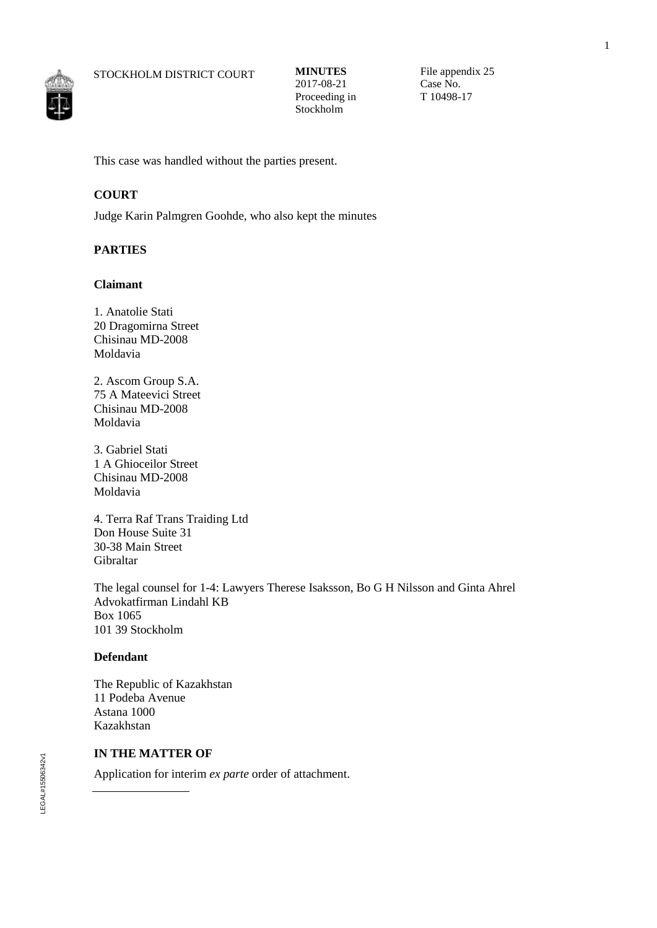

File appendix 25 Case No. T 10498-17

This case was handled without the parties present.

## **COURT**

Judge Karin Palmgren Goohde, who also kept the minutes

## **PARTIES**

### **Claimant**

1. Anatolie Stati 20 Dragomirna Street Chisinau MD-2008 Moldavia

2. Ascom Group S.A. 75 A Mateevici Street Chisinau MD-2008 Moldavia

3. Gabriel Stati 1 A Ghioceilor Street Chisinau MD-2008 Moldavia

4. Terra Raf Trans Traiding Ltd Don House Suite 31 30-38 Main Street Gibraltar

The legal counsel for 1-4: Lawyers Therese Isaksson, Bo G H Nilsson and Ginta Ahrel Advokatfirman Lindahl KB Box 1065 101 39 Stockholm

## **Defendant**

The Republic of Kazakhstan 11 Podeba Avenue Astana 1000 Kazakhstan

## **IN THE MATTER OF**

Application for interim *ex parte* order of attachment.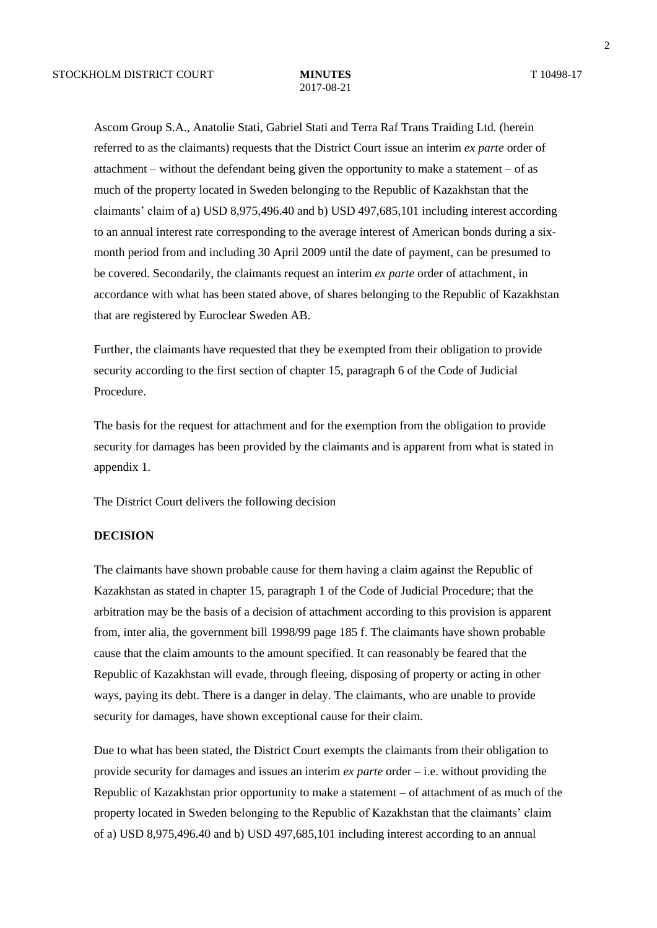# 2017-08-21

Ascom Group S.A., Anatolie Stati, Gabriel Stati and Terra Raf Trans Traiding Ltd. (herein referred to as the claimants) requests that the District Court issue an interim *ex parte* order of attachment – without the defendant being given the opportunity to make a statement – of as much of the property located in Sweden belonging to the Republic of Kazakhstan that the claimants' claim of a) USD 8,975,496.40 and b) USD 497,685,101 including interest according to an annual interest rate corresponding to the average interest of American bonds during a sixmonth period from and including 30 April 2009 until the date of payment, can be presumed to be covered. Secondarily, the claimants request an interim *ex parte* order of attachment, in accordance with what has been stated above, of shares belonging to the Republic of Kazakhstan that are registered by Euroclear Sweden AB.

Further, the claimants have requested that they be exempted from their obligation to provide security according to the first section of chapter 15, paragraph 6 of the Code of Judicial Procedure.

The basis for the request for attachment and for the exemption from the obligation to provide security for damages has been provided by the claimants and is apparent from what is stated in appendix 1.

The District Court delivers the following decision

## **DECISION**

The claimants have shown probable cause for them having a claim against the Republic of Kazakhstan as stated in chapter 15, paragraph 1 of the Code of Judicial Procedure; that the arbitration may be the basis of a decision of attachment according to this provision is apparent from, inter alia, the government bill 1998/99 page 185 f. The claimants have shown probable cause that the claim amounts to the amount specified. It can reasonably be feared that the Republic of Kazakhstan will evade, through fleeing, disposing of property or acting in other ways, paying its debt. There is a danger in delay. The claimants, who are unable to provide security for damages, have shown exceptional cause for their claim.

Due to what has been stated, the District Court exempts the claimants from their obligation to provide security for damages and issues an interim *ex parte* order – i.e. without providing the Republic of Kazakhstan prior opportunity to make a statement – of attachment of as much of the property located in Sweden belonging to the Republic of Kazakhstan that the claimants' claim of a) USD 8,975,496.40 and b) USD 497,685,101 including interest according to an annual